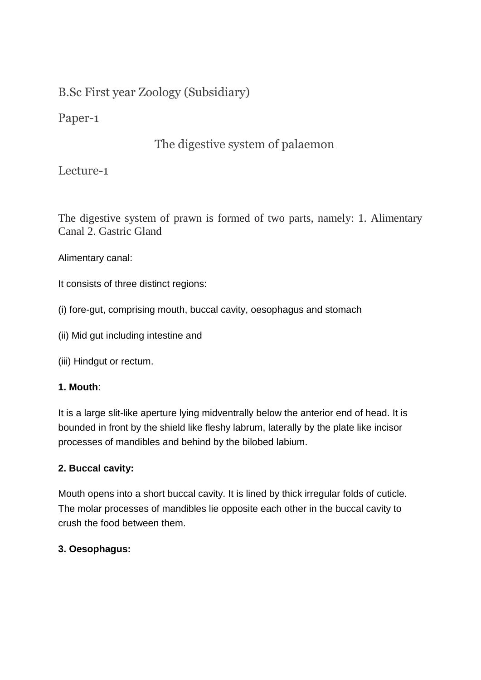# B.Sc First year Zoology (Subsidiary)

Paper-1

# The digestive system of palaemon

Lecture-1

The digestive system of prawn is formed of two parts, namely: 1. Alimentary Canal 2. Gastric Gland

Alimentary canal:

It consists of three distinct regions:

- (i) fore-gut, comprising mouth, buccal cavity, oesophagus and stomach
- (ii) Mid gut including intestine and
- (iii) Hindgut or rectum.

## **1. Mouth**:

It is a large slit-like aperture lying midventrally below the anterior end of head. It is bounded in front by the shield like fleshy labrum, laterally by the plate like incisor processes of mandibles and behind by the bilobed labium.

## **2. Buccal cavity:**

Mouth opens into a short buccal cavity. It is lined by thick irregular folds of cuticle. The molar processes of mandibles lie opposite each other in the buccal cavity to crush the food between them.

## **3. Oesophagus:**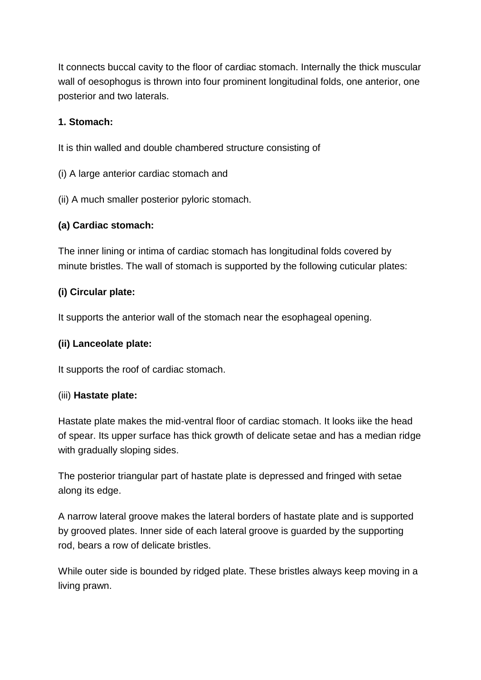It connects buccal cavity to the floor of cardiac stomach. Internally the thick muscular wall of oesophogus is thrown into four prominent longitudinal folds, one anterior, one posterior and two laterals.

### **1. Stomach:**

It is thin walled and double chambered structure consisting of

- (i) A large anterior cardiac stomach and
- (ii) A much smaller posterior pyloric stomach.

## **(a) Cardiac stomach:**

The inner lining or intima of cardiac stomach has longitudinal folds covered by minute bristles. The wall of stomach is supported by the following cuticular plates:

### **(i) Circular plate:**

It supports the anterior wall of the stomach near the esophageal opening.

#### **(ii) Lanceolate plate:**

It supports the roof of cardiac stomach.

#### (iii) **Hastate plate:**

Hastate plate makes the mid-ventral floor of cardiac stomach. It looks iike the head of spear. Its upper surface has thick growth of delicate setae and has a median ridge with gradually sloping sides.

The posterior triangular part of hastate plate is depressed and fringed with setae along its edge.

A narrow lateral groove makes the lateral borders of hastate plate and is supported by grooved plates. Inner side of each lateral groove is guarded by the supporting rod, bears a row of delicate bristles.

While outer side is bounded by ridged plate. These bristles always keep moving in a living prawn.